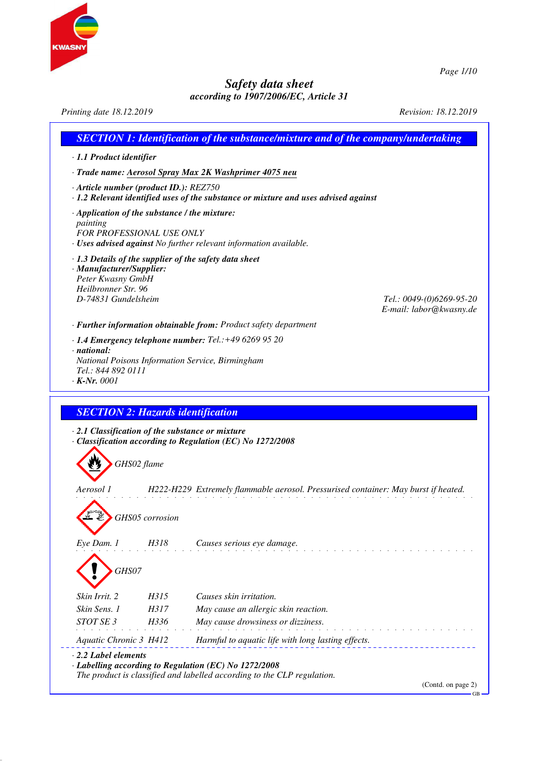

*Page 1/10*

GB

# *Safety data sheet according to 1907/2006/EC, Article 31*

| · 1.1 Product identifier                                                                                                                                                                                                          |                                                                                    |
|-----------------------------------------------------------------------------------------------------------------------------------------------------------------------------------------------------------------------------------|------------------------------------------------------------------------------------|
| · Trade name: Aerosol Spray Max 2K Washprimer 4075 neu                                                                                                                                                                            |                                                                                    |
|                                                                                                                                                                                                                                   |                                                                                    |
| $\cdot$ Article number (product ID.): REZ750<br>$\cdot$ 1.2 Relevant identified uses of the substance or mixture and uses advised against                                                                                         |                                                                                    |
| · Application of the substance / the mixture:<br>painting<br>FOR PROFESSIONAL USE ONLY<br>· Uses advised against No further relevant information available.                                                                       |                                                                                    |
| $\cdot$ 1.3 Details of the supplier of the safety data sheet<br>· Manufacturer/Supplier:<br>Peter Kwasny GmbH<br>Heilbronner Str. 96<br>D-74831 Gundelsheim                                                                       | Tel.: 0049-(0)6269-95-20<br>E-mail: labor@kwasny.de                                |
| · Further information obtainable from: Product safety department                                                                                                                                                                  |                                                                                    |
| National Poisons Information Service, Birmingham                                                                                                                                                                                  |                                                                                    |
| $\cdot$ national:<br>Tel.: 844 892 0111<br>$\cdot$ K-Nr. 0001<br><b>SECTION 2: Hazards identification</b><br>$\cdot$ 2.1 Classification of the substance or mixture<br>· Classification according to Regulation (EC) No 1272/2008 |                                                                                    |
| GHS02 flame                                                                                                                                                                                                                       |                                                                                    |
| Aerosol 1                                                                                                                                                                                                                         | H222-H229 Extremely flammable aerosol. Pressurised container: May burst if heated. |
| GHS05 corrosion                                                                                                                                                                                                                   |                                                                                    |
| Eye Dam. 1<br>H318<br>Causes serious eye damage.                                                                                                                                                                                  |                                                                                    |
| GHS07                                                                                                                                                                                                                             |                                                                                    |
| H315<br>Skin Irrit. 2<br>Causes skin irritation.                                                                                                                                                                                  |                                                                                    |
| Skin Sens. 1<br>H317<br>May cause an allergic skin reaction.                                                                                                                                                                      |                                                                                    |
| STOT SE 3<br>H336<br>May cause drowsiness or dizziness.                                                                                                                                                                           |                                                                                    |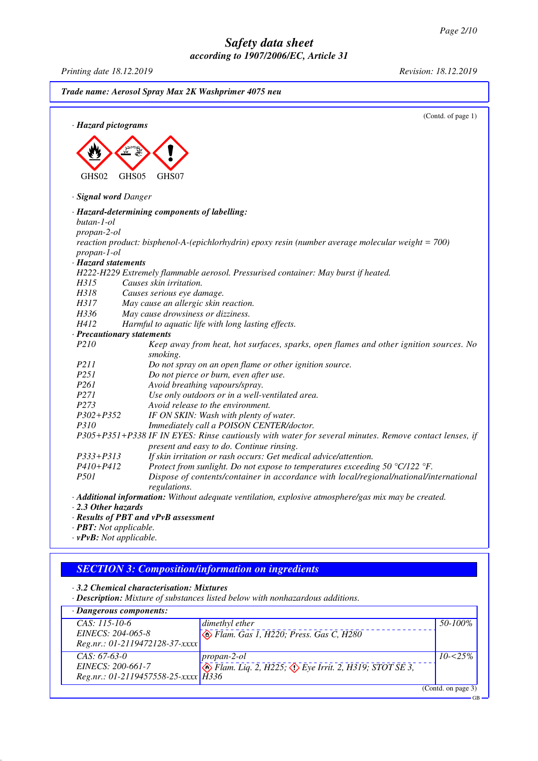GB

# *Safety data sheet according to 1907/2006/EC, Article 31*

*Printing date 18.12.2019 Revision: 18.12.2019*

| · Hazard pictograms  | (Contd. of page 1)                                                                                         |
|----------------------|------------------------------------------------------------------------------------------------------------|
|                      |                                                                                                            |
|                      |                                                                                                            |
|                      |                                                                                                            |
|                      |                                                                                                            |
| GHS02                | GHS05<br>GHS07                                                                                             |
| · Signal word Danger |                                                                                                            |
|                      | · Hazard-determining components of labelling:                                                              |
| butan-1-ol           |                                                                                                            |
| propan-2-ol          |                                                                                                            |
|                      | reaction product: bisphenol-A-(epichlorhydrin) epoxy resin (number average molecular weight = 700)         |
| propan-1-ol          |                                                                                                            |
| · Hazard statements  |                                                                                                            |
|                      | H222-H229 Extremely flammable aerosol. Pressurised container: May burst if heated.                         |
| H315                 | Causes skin irritation.                                                                                    |
| H318                 | Causes serious eye damage.                                                                                 |
| H317                 | May cause an allergic skin reaction.                                                                       |
| H336                 | May cause drowsiness or dizziness.                                                                         |
| H412                 | Harmful to aquatic life with long lasting effects.                                                         |
|                      | · Precautionary statements                                                                                 |
| P210                 | Keep away from heat, hot surfaces, sparks, open flames and other ignition sources. No<br>smoking.          |
| P211                 | Do not spray on an open flame or other ignition source.                                                    |
| P251                 | Do not pierce or burn, even after use.                                                                     |
| P <sub>261</sub>     | Avoid breathing vapours/spray.                                                                             |
| P271                 | Use only outdoors or in a well-ventilated area.                                                            |
| P273                 | Avoid release to the environment.                                                                          |
| $P302 + P352$        | IF ON SKIN: Wash with plenty of water.                                                                     |
| <i>P310</i>          | Immediately call a POISON CENTER/doctor.                                                                   |
|                      | P305+P351+P338 IF IN EYES: Rinse cautiously with water for several minutes. Remove contact lenses, if      |
|                      | present and easy to do. Continue rinsing.                                                                  |
| $P333 + P313$        | If skin irritation or rash occurs: Get medical advice/attention.                                           |
| $P410 + P412$        | Protect from sunlight. Do not expose to temperatures exceeding 50 °C/122 °F.                               |
| <i>P501</i>          | Dispose of contents/container in accordance with local/regional/national/international<br>regulations.     |
|                      | $\cdot$ Additional information: Without adequate ventilation, explosive atmosphere/gas mix may be created. |

*· PBT: Not applicable.*

*· vPvB: Not applicable.*

# *SECTION 3: Composition/information on ingredients*

*· 3.2 Chemical characterisation: Mixtures*

*· Description: Mixture of substances listed below with nonhazardous additions.*

| $\cdot$ Dangerous components:       |                                                                              |                    |
|-------------------------------------|------------------------------------------------------------------------------|--------------------|
| $CAS: 115-10-6$                     | dimethyl ether                                                               | 50-100%            |
| EINECS: 204-065-8                   | $\otimes$ Flam. Gas 1, H220; Press. Gas C, H280                              |                    |
| $Reg.nr.: 01-2119472128-37-xxxx$    |                                                                              |                    |
| $CAS: 67-63-0$                      | $propan-2-ol$                                                                | $10 - 25\%$        |
| EINECS: 200-661-7                   | $\bigotimes$ Flam. Liq. 2, H225; $\bigotimes$ Eye Irrit. 2, H319; STOT SE 3, |                    |
| Reg.nr.: 01-2119457558-25-xxxx H336 |                                                                              |                    |
|                                     |                                                                              | (Contd. on page 3) |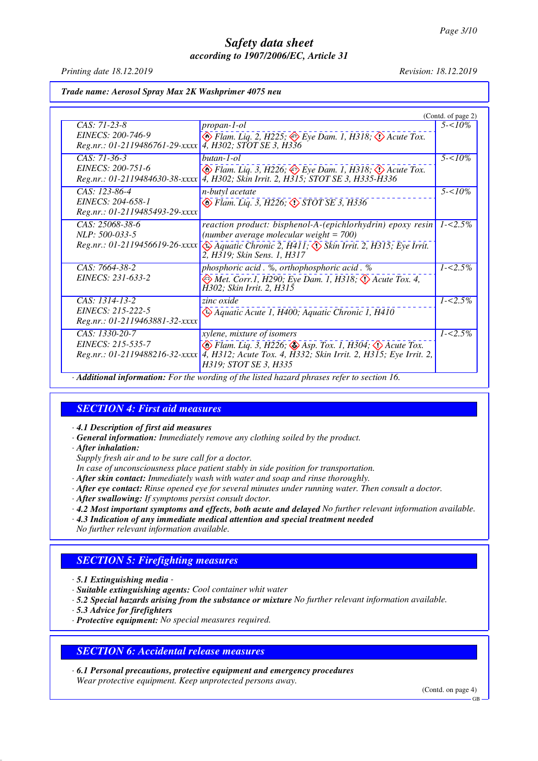*Printing date 18.12.2019 Revision: 18.12.2019*

*Trade name: Aerosol Spray Max 2K Washprimer 4075 neu*

|                                                                                              |                                                                                                                                                                                                                                                                                                    | (Contd. of page 2) |
|----------------------------------------------------------------------------------------------|----------------------------------------------------------------------------------------------------------------------------------------------------------------------------------------------------------------------------------------------------------------------------------------------------|--------------------|
| CAS: 71-23-8<br>EINECS: 200-746-9<br>Reg.nr.: 01-2119486761-29-xxxx 4, H302; STOT SE 3, H336 | propan-1-ol<br>$\otimes$ Flam. Liq. 2, H225; $\otimes$ Eye Dam. 1, H318; $\otimes$ Acute Tox.                                                                                                                                                                                                      | $5 - 10\%$         |
| $CAS: 71-36-3$<br>EINECS: 200-751-6                                                          | butan-1-ol<br>$\otimes$ Flam. Liq. 3, H226; $\otimes$ Eye Dam. 1, H318; $\otimes$ Acute Tox.<br>Reg.nr.: 01-2119484630-38-xxxx 4, H302; Skin Irrit. 2, H315; STOT SE 3, H335-H336                                                                                                                  | $5 - 10\%$         |
| CAS: 123-86-4<br>EINECS: 204-658-1<br>Reg.nr.: 01-2119485493-29-xxxx                         | n-butyl acetate<br>$\leftrightarrow$ Flam. Liq. 3, H226; $\leftrightarrow$ STOT SE 3, H336                                                                                                                                                                                                         | $5 - 10\%$         |
| CAS: 25068-38-6<br>NLP: 500-033-5                                                            | reaction product: bisphenol-A-(epichlorhydrin) epoxy resin<br>(number average molecular weight = $700$ )<br>Reg.nr.: 01-2119456619-26-xxxx <a> <a> <a> <a> <a> <a> <a> Gradic Chronic 2, H411; <a> Skin Irrit. 2, H315; Eye Irrit.<br/>2, H319; Skin Sens. 1, H317</a></a></a></a></a></a></a></a> | $1 - 2.5\%$        |
| CAS: 7664-38-2<br>EINECS: 231-633-2                                                          | phosphoric acid. %, orthophosphoric acid. %<br>Met. Corr.1, H290; Eye Dam. 1, H318; $\Diamond$ Acute Tox. 4,<br>H302; Skin Irrit. 2, H315                                                                                                                                                          | $1 - 2.5\%$        |
| CAS: 1314-13-2<br>EINECS: 215-222-5<br>Reg.nr.: 01-2119463881-32-xxxx                        | zinc oxide<br>Aquatic Acute 1, H400; Aquatic Chronic 1, H410                                                                                                                                                                                                                                       | $1 - 2.5\%$        |
| CAS: 1330-20-7<br>EINECS: 215-535-7                                                          | xylene, mixture of isomers<br>$\otimes$ Flam. Liq. 3, H226; $\otimes$ Asp. Tox. 1, H304; $\otimes$ Acute Tox.<br>Reg.nr.: 01-2119488216-32-xxxx 4, H312; Acute Tox. 4, H332; Skin Irrit. 2, H315; Eye Irrit. 2,<br>H319; STOT SE 3, H335                                                           | $1 - 5\%$          |

*· Additional information: For the wording of the listed hazard phrases refer to section 16.*

# *SECTION 4: First aid measures*

- *· 4.1 Description of first aid measures*
- *· General information: Immediately remove any clothing soiled by the product.*
- *· After inhalation:*
- *Supply fresh air and to be sure call for a doctor.*
- *In case of unconsciousness place patient stably in side position for transportation.*
- *· After skin contact: Immediately wash with water and soap and rinse thoroughly.*
- *· After eye contact: Rinse opened eye for several minutes under running water. Then consult a doctor.*
- *· After swallowing: If symptoms persist consult doctor.*
- *· 4.2 Most important symptoms and effects, both acute and delayed No further relevant information available.*
- *· 4.3 Indication of any immediate medical attention and special treatment needed*

*No further relevant information available.*

# *SECTION 5: Firefighting measures*

- *· 5.1 Extinguishing media*
- *· Suitable extinguishing agents: Cool container whit water*
- *· 5.2 Special hazards arising from the substance or mixture No further relevant information available.*
- *· 5.3 Advice for firefighters*
- *· Protective equipment: No special measures required.*

#### *SECTION 6: Accidental release measures*

*· 6.1 Personal precautions, protective equipment and emergency procedures Wear protective equipment. Keep unprotected persons away.*

(Contd. on page 4)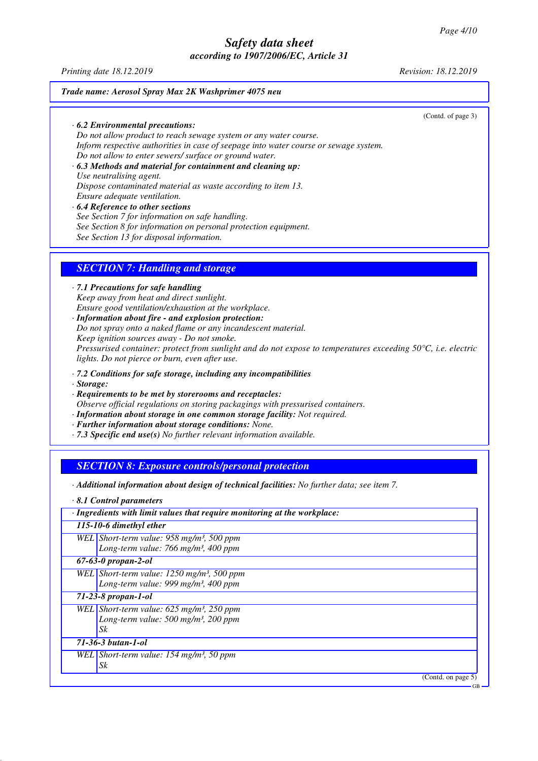*Printing date 18.12.2019 Revision: 18.12.2019*

*Trade name: Aerosol Spray Max 2K Washprimer 4075 neu*

(Contd. of page 3)

*· 6.2 Environmental precautions: Do not allow product to reach sewage system or any water course. Inform respective authorities in case of seepage into water course or sewage system. Do not allow to enter sewers/ surface or ground water. · 6.3 Methods and material for containment and cleaning up:*

*Use neutralising agent.*

*Dispose contaminated material as waste according to item 13. Ensure adequate ventilation.*

*· 6.4 Reference to other sections*

*See Section 7 for information on safe handling.*

*See Section 8 for information on personal protection equipment.*

*See Section 13 for disposal information.*

### *SECTION 7: Handling and storage*

*· 7.1 Precautions for safe handling Keep away from heat and direct sunlight. Ensure good ventilation/exhaustion at the workplace.*

*· Information about fire - and explosion protection: Do not spray onto a naked flame or any incandescent material. Keep ignition sources away - Do not smoke. Pressurised container: protect from sunlight and do not expose to temperatures exceeding 50°C, i.e. electric lights. Do not pierce or burn, even after use.*

*· 7.2 Conditions for safe storage, including any incompatibilities*

*· Storage:*

*· Requirements to be met by storerooms and receptacles: Observe official regulations on storing packagings with pressurised containers.*

*· Information about storage in one common storage facility: Not required.*

*· Further information about storage conditions: None.*

*· 7.3 Specific end use(s) No further relevant information available.*

# *SECTION 8: Exposure controls/personal protection*

*· Additional information about design of technical facilities: No further data; see item 7.*

*· 8.1 Control parameters*

| · Ingredients with limit values that require monitoring at the workplace:                                         |  |
|-------------------------------------------------------------------------------------------------------------------|--|
| 115-10-6 dimethyl ether                                                                                           |  |
| WEL Short-term value: $958$ mg/m <sup>3</sup> , 500 ppm<br>Long-term value: 766 mg/m <sup>3</sup> , 400 ppm       |  |
| $67 - 63 - 0$ propan-2-ol                                                                                         |  |
| WEL Short-term value: $1250$ mg/m <sup>3</sup> , 500 ppm<br>Long-term value: 999 mg/m <sup>3</sup> , 400 ppm      |  |
| 71-23-8 propan-1-ol                                                                                               |  |
| WEL Short-term value: $625$ mg/m <sup>3</sup> , 250 ppm<br>Long-term value: 500 mg/m <sup>3</sup> , 200 ppm<br>Sk |  |
| 71-36-3 butan-1-ol                                                                                                |  |
| WEL Short-term value: $154$ mg/m <sup>3</sup> , 50 ppm<br>Sk                                                      |  |
| (Contd. on page $5$ )                                                                                             |  |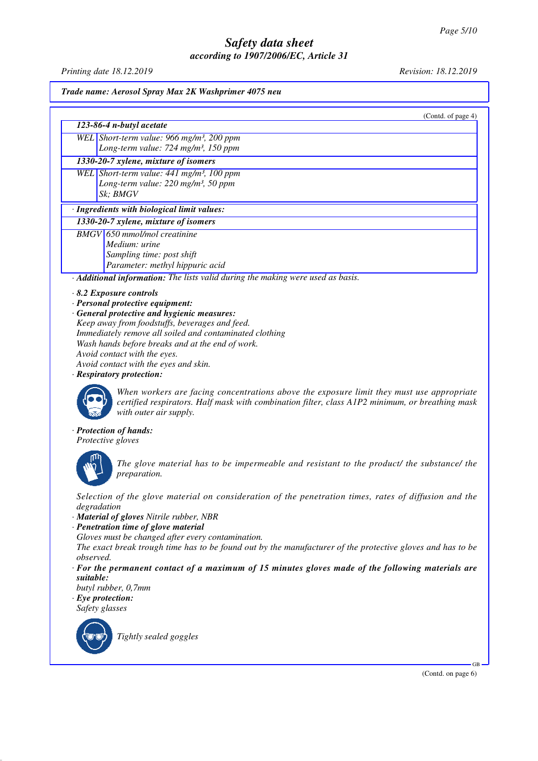*Printing date 18.12.2019 Revision: 18.12.2019*

*123-86-4 n-butyl acetate*

*Trade name: Aerosol Spray Max 2K Washprimer 4075 neu*

(Contd. of page 4)

*WEL Short-term value: 966 mg/m³, 200 ppm Long-term value: 724 mg/m³, 150 ppm*

*1330-20-7 xylene, mixture of isomers*

*WEL Short-term value: 441 mg/m³, 100 ppm Long-term value: 220 mg/m³, 50 ppm Sk; BMGV*

#### *· Ingredients with biological limit values:*

#### *1330-20-7 xylene, mixture of isomers*

*BMGV 650 mmol/mol creatinine Medium: urine Sampling time: post shift*

*Parameter: methyl hippuric acid*

*· Additional information: The lists valid during the making were used as basis.*

#### *· 8.2 Exposure controls*

*· Personal protective equipment:*

*· General protective and hygienic measures: Keep away from foodstuffs, beverages and feed. Immediately remove all soiled and contaminated clothing Wash hands before breaks and at the end of work.*

*Avoid contact with the eyes.*

*Avoid contact with the eyes and skin.*

*· Respiratory protection:*



*When workers are facing concentrations above the exposure limit they must use appropriate certified respirators. Half mask with combination filter, class A1P2 minimum, or breathing mask with outer air supply.*

*· Protection of hands: Protective gloves*



*The glove material has to be impermeable and resistant to the product/ the substance/ the preparation.*

*Selection of the glove material on consideration of the penetration times, rates of diffusion and the degradation*

- *· Material of gloves Nitrile rubber, NBR*
- *· Penetration time of glove material*

*Gloves must be changed after every contamination.*

*The exact break trough time has to be found out by the manufacturer of the protective gloves and has to be observed.*

- *· For the permanent contact of a maximum of 15 minutes gloves made of the following materials are suitable:*
- *butyl rubber, 0,7mm · Eye protection:*

*Safety glasses*



*Tightly sealed goggles*

(Contd. on page 6)

GB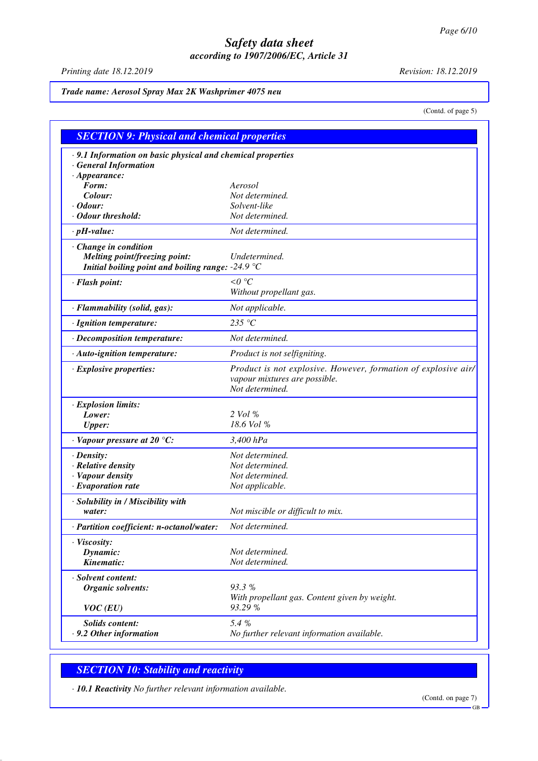*Printing date 18.12.2019 Revision: 18.12.2019*

#### *Trade name: Aerosol Spray Max 2K Washprimer 4075 neu*

(Contd. of page 5)

| <b>SECTION 9: Physical and chemical properties</b>                                                                           |                                                                                                                    |  |
|------------------------------------------------------------------------------------------------------------------------------|--------------------------------------------------------------------------------------------------------------------|--|
| · 9.1 Information on basic physical and chemical properties<br>· General Information<br>$\cdot$ Appearance:                  |                                                                                                                    |  |
| Form:                                                                                                                        | Aerosol                                                                                                            |  |
| Colour:                                                                                                                      | Not determined.                                                                                                    |  |
| $\cdot$ Odour:                                                                                                               | Solvent-like                                                                                                       |  |
| · Odour threshold:                                                                                                           | Not determined.                                                                                                    |  |
| $\cdot$ pH-value:                                                                                                            | Not determined.                                                                                                    |  |
| · Change in condition<br><b>Melting point/freezing point:</b><br>Initial boiling point and boiling range: -24.9 $\mathrm{C}$ | Undetermined.                                                                                                      |  |
| · Flash point:                                                                                                               | $\leq 0$ °C<br>Without propellant gas.                                                                             |  |
| · Flammability (solid, gas):                                                                                                 | Not applicable.                                                                                                    |  |
| · Ignition temperature:                                                                                                      | 235 $\degree$ C                                                                                                    |  |
| · Decomposition temperature:                                                                                                 | Not determined.                                                                                                    |  |
| · Auto-ignition temperature:                                                                                                 | Product is not selfigniting.                                                                                       |  |
| $\cdot$ Explosive properties:                                                                                                | Product is not explosive. However, formation of explosive air/<br>vapour mixtures are possible.<br>Not determined. |  |
| · Explosion limits:                                                                                                          |                                                                                                                    |  |
| Lower:                                                                                                                       | 2 Vol %                                                                                                            |  |
| <b>Upper:</b>                                                                                                                | 18.6 Vol %                                                                                                         |  |
| $\cdot$ Vapour pressure at 20 °C:                                                                                            | 3,400 hPa                                                                                                          |  |
| $\cdot$ Density:                                                                                                             | Not determined.                                                                                                    |  |
| · Relative density                                                                                                           | Not determined.                                                                                                    |  |
| · Vapour density                                                                                                             | Not determined.                                                                                                    |  |
| $\cdot$ Evaporation rate                                                                                                     | Not applicable.                                                                                                    |  |
| · Solubility in / Miscibility with                                                                                           |                                                                                                                    |  |
| water:                                                                                                                       | Not miscible or difficult to mix.                                                                                  |  |
| · Partition coefficient: n-octanol/water:                                                                                    | Not determined.                                                                                                    |  |
| · Viscosity:                                                                                                                 |                                                                                                                    |  |
| Dynamic:                                                                                                                     | Not determined.                                                                                                    |  |
| Kinematic:                                                                                                                   | Not determined.                                                                                                    |  |
| · Solvent content:                                                                                                           |                                                                                                                    |  |
| Organic solvents:                                                                                                            | 93.3%                                                                                                              |  |
| VOC(EU)                                                                                                                      | With propellant gas. Content given by weight.<br>93.29 %                                                           |  |
| <b>Solids content:</b>                                                                                                       | 5.4%                                                                                                               |  |
| $\cdot$ 9.2 Other information                                                                                                | No further relevant information available.                                                                         |  |

# *SECTION 10: Stability and reactivity*

*· 10.1 Reactivity No further relevant information available.*

(Contd. on page 7)

GB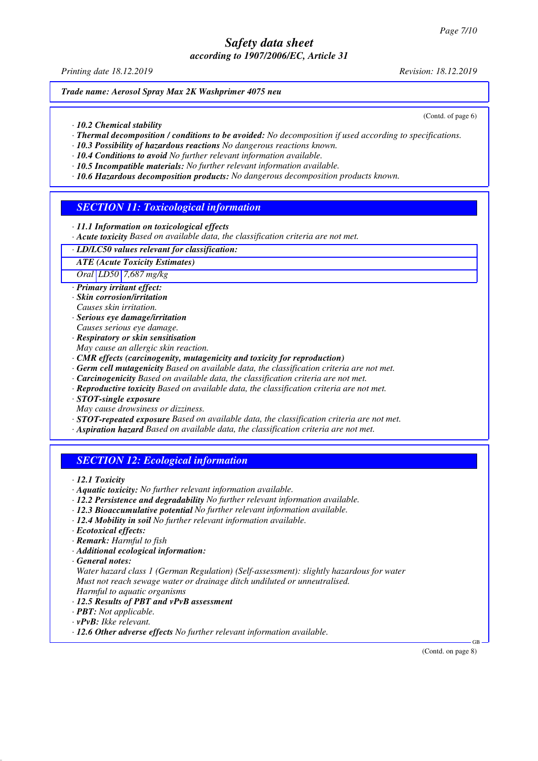*Printing date 18.12.2019 Revision: 18.12.2019*

*Trade name: Aerosol Spray Max 2K Washprimer 4075 neu*

(Contd. of page 6)

- *· 10.2 Chemical stability*
- *· Thermal decomposition / conditions to be avoided: No decomposition if used according to specifications.*
- *· 10.3 Possibility of hazardous reactions No dangerous reactions known.*
- *· 10.4 Conditions to avoid No further relevant information available.*
- *· 10.5 Incompatible materials: No further relevant information available.*
- *· 10.6 Hazardous decomposition products: No dangerous decomposition products known.*

### *SECTION 11: Toxicological information*

- *· 11.1 Information on toxicological effects*
- *· Acute toxicity Based on available data, the classification criteria are not met.*
- *· LD/LC50 values relevant for classification:*

#### *ATE (Acute Toxicity Estimates)*

*Oral LD50 7,687 mg/kg*

- *· Primary irritant effect:*
- *· Skin corrosion/irritation Causes skin irritation.*
- *· Serious eye damage/irritation*
- *Causes serious eye damage.*
- *· Respiratory or skin sensitisation May cause an allergic skin reaction.*
- *· CMR effects (carcinogenity, mutagenicity and toxicity for reproduction)*
- *· Germ cell mutagenicity Based on available data, the classification criteria are not met.*
- *· Carcinogenicity Based on available data, the classification criteria are not met.*
- *· Reproductive toxicity Based on available data, the classification criteria are not met.*
- *· STOT-single exposure*
- *May cause drowsiness or dizziness.*
- *· STOT-repeated exposure Based on available data, the classification criteria are not met.*
- *· Aspiration hazard Based on available data, the classification criteria are not met.*

#### *SECTION 12: Ecological information*

- *· 12.1 Toxicity*
- *· Aquatic toxicity: No further relevant information available.*
- *· 12.2 Persistence and degradability No further relevant information available.*
- *· 12.3 Bioaccumulative potential No further relevant information available.*
- *· 12.4 Mobility in soil No further relevant information available.*
- *· Ecotoxical effects:*
- *· Remark: Harmful to fish*
- *· Additional ecological information:*
- *· General notes:*
- *Water hazard class 1 (German Regulation) (Self-assessment): slightly hazardous for water Must not reach sewage water or drainage ditch undiluted or unneutralised. Harmful to aquatic organisms*
- *· 12.5 Results of PBT and vPvB assessment*
- *· PBT: Not applicable.*
- *· vPvB: Ikke relevant.*
- *· 12.6 Other adverse effects No further relevant information available.*

(Contd. on page 8)

GB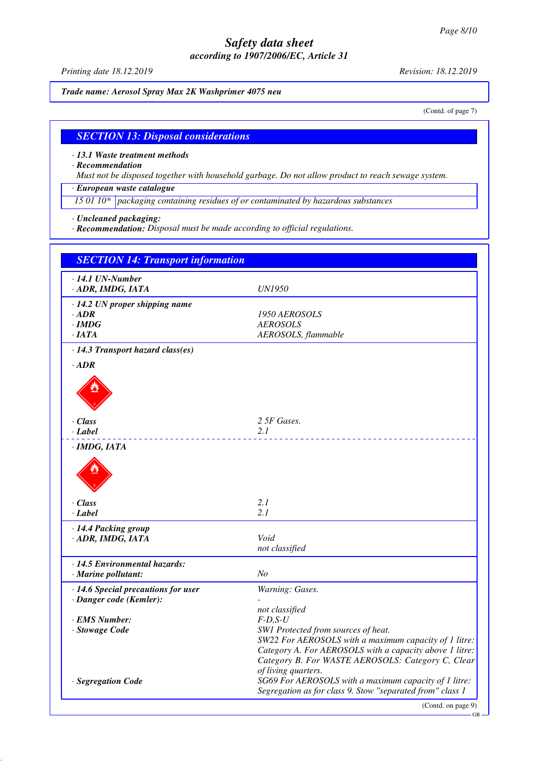*Printing date 18.12.2019 Revision: 18.12.2019*

#### *Trade name: Aerosol Spray Max 2K Washprimer 4075 neu*

(Contd. of page 7)

# *SECTION 13: Disposal considerations*

*· 13.1 Waste treatment methods*

*· Recommendation*

*Must not be disposed together with household garbage. Do not allow product to reach sewage system.*

*· European waste catalogue*

*15 01 10\* packaging containing residues of or contaminated by hazardous substances*

*· Uncleaned packaging:*

*· Recommendation: Disposal must be made according to official regulations.*

| <b>SECTION 14: Transport information</b> |                                                                                                                    |
|------------------------------------------|--------------------------------------------------------------------------------------------------------------------|
| $\cdot$ 14.1 UN-Number                   |                                                                                                                    |
| · ADR, IMDG, IATA                        | <i>UN1950</i>                                                                                                      |
| $\cdot$ 14.2 UN proper shipping name     |                                                                                                                    |
| $\cdot$ ADR                              | 1950 AEROSOLS                                                                                                      |
| $\cdot$ IMDG<br>$\cdot$ IATA             | <i>AEROSOLS</i><br>AEROSOLS, flammable                                                                             |
|                                          |                                                                                                                    |
| · 14.3 Transport hazard class(es)        |                                                                                                                    |
| $\cdot$ ADR                              |                                                                                                                    |
|                                          |                                                                                                                    |
| $\cdot$ Class                            | 2 5F Gases.                                                                                                        |
| · Label                                  | 2.1                                                                                                                |
| · IMDG, IATA                             |                                                                                                                    |
| $\cdot$ Class                            | 2.1                                                                                                                |
| · Label                                  | 2.1                                                                                                                |
| · 14.4 Packing group                     |                                                                                                                    |
| · ADR, IMDG, IATA                        | Void                                                                                                               |
|                                          | not classified                                                                                                     |
| $\cdot$ 14.5 Environmental hazards:      |                                                                                                                    |
| · Marine pollutant:                      | N <sub>O</sub>                                                                                                     |
| · 14.6 Special precautions for user      | Warning: Gases.                                                                                                    |
| · Danger code (Kemler):                  |                                                                                                                    |
|                                          | not classified                                                                                                     |
| · EMS Number:                            | $F-D, S-U$                                                                                                         |
| · Stowage Code                           | SW1 Protected from sources of heat.<br>SW22 For AEROSOLS with a maximum capacity of 1 litre:                       |
|                                          | Category A. For AEROSOLS with a capacity above 1 litre:                                                            |
|                                          | Category B. For WASTE AEROSOLS: Category C, Clear                                                                  |
|                                          | of living quarters.                                                                                                |
| · Segregation Code                       | SG69 For AEROSOLS with a maximum capacity of 1 litre:<br>Segregation as for class 9. Stow "separated from" class 1 |
|                                          | (Contd. on page 9)                                                                                                 |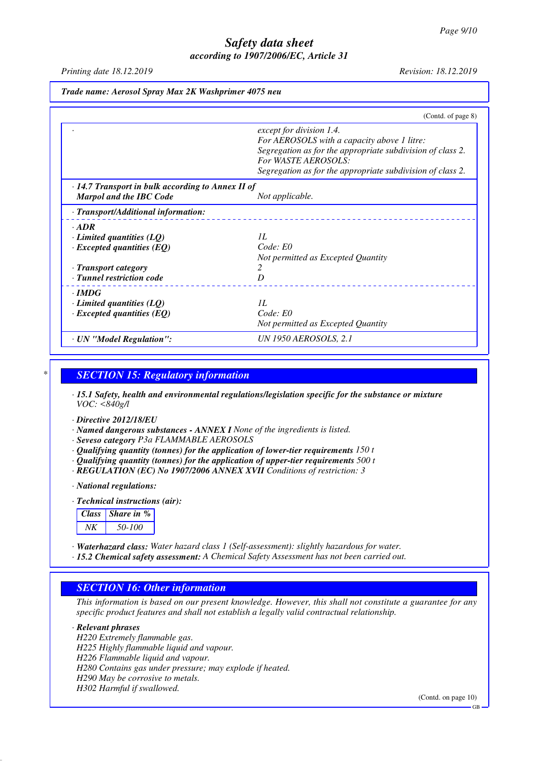*Printing date 18.12.2019 Revision: 18.12.2019*

| Trade name: Aerosol Spray Max 2K Washprimer 4075 neu    |                                                                                   |
|---------------------------------------------------------|-----------------------------------------------------------------------------------|
|                                                         | (Contd. of page 8)                                                                |
|                                                         | except for division 1.4.                                                          |
|                                                         | For AEROSOLS with a capacity above 1 litre:                                       |
|                                                         | Segregation as for the appropriate subdivision of class 2.<br>For WASTE AEROSOLS: |
|                                                         | Segregation as for the appropriate subdivision of class 2.                        |
| $\cdot$ 14.7 Transport in bulk according to Annex II of |                                                                                   |
| <b>Marpol and the IBC Code</b>                          | Not applicable.                                                                   |
| · Transport/Additional information:                     |                                                                                   |
| $-$ ADR                                                 |                                                                                   |
| $\cdot$ Limited quantities (LQ)                         | II.                                                                               |
| $\cdot$ Excepted quantities (EQ)                        | Code: E0                                                                          |
|                                                         | Not permitted as Excepted Quantity                                                |
| · Transport category                                    | 2                                                                                 |
| · Tunnel restriction code                               | D                                                                                 |
| $\cdot$ IMDG                                            |                                                                                   |
| $\cdot$ Limited quantities (LQ)                         | II.                                                                               |
| $\cdot$ Excepted quantities (EQ)                        | Code: E0                                                                          |
|                                                         | Not permitted as Excepted Quantity                                                |
| · UN "Model Regulation":                                | UN 1950 AEROSOLS, 2.1                                                             |

#### *\* SECTION 15: Regulatory information*

- *· 15.1 Safety, health and environmental regulations/legislation specific for the substance or mixture VOC: <840g/l*
- *· Directive 2012/18/EU*
- *· Named dangerous substances ANNEX I None of the ingredients is listed.*
- *· Seveso category P3a FLAMMABLE AEROSOLS*
- *· Qualifying quantity (tonnes) for the application of lower-tier requirements 150 t*
- *· Qualifying quantity (tonnes) for the application of upper-tier requirements 500 t*
- *· REGULATION (EC) No 1907/2006 ANNEX XVII Conditions of restriction: 3*

*· National regulations:*

*· Technical instructions (air):*

| 72 N | Share in % |
|------|------------|
|      | 50-100     |

*· Waterhazard class: Water hazard class 1 (Self-assessment): slightly hazardous for water.*

*· 15.2 Chemical safety assessment: A Chemical Safety Assessment has not been carried out.*

### *SECTION 16: Other information*

*This information is based on our present knowledge. However, this shall not constitute a guarantee for any specific product features and shall not establish a legally valid contractual relationship.*

*· Relevant phrases*

*H220 Extremely flammable gas. H225 Highly flammable liquid and vapour. H226 Flammable liquid and vapour. H280 Contains gas under pressure; may explode if heated. H290 May be corrosive to metals. H302 Harmful if swallowed.*

(Contd. on page 10)

GB